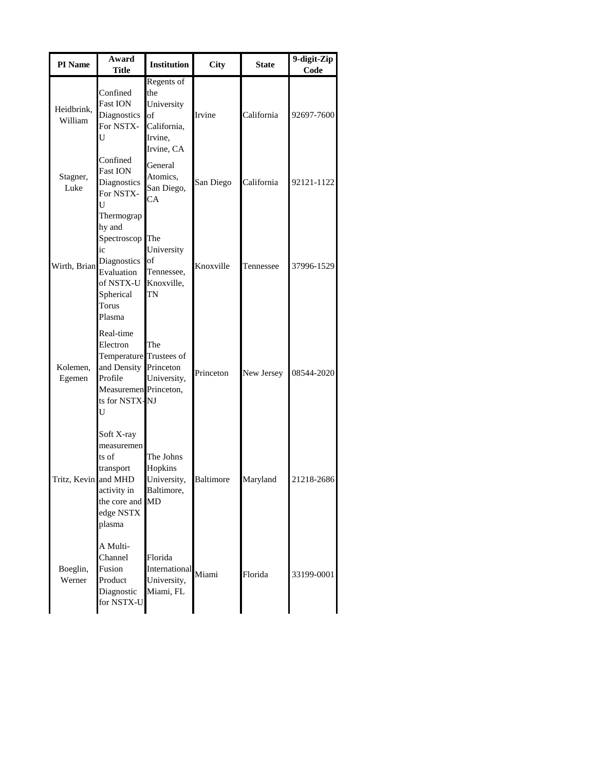| PI Name               | Award<br><b>Title</b>                                                                                                                | <b>Institution</b>                                                            | <b>City</b>      | <b>State</b> | 9-digit-Zip<br>Code |
|-----------------------|--------------------------------------------------------------------------------------------------------------------------------------|-------------------------------------------------------------------------------|------------------|--------------|---------------------|
| Heidbrink,<br>William | Confined<br><b>Fast ION</b><br>Diagnostics<br>For NSTX-<br>U                                                                         | Regents of<br>the<br>University<br>of<br>California,<br>Irvine,<br>Irvine, CA | Irvine           | California   | 92697-7600          |
| Stagner,<br>Luke      | Confined<br><b>Fast ION</b><br>Diagnostics<br>For NSTX-<br>U<br>Thermograp                                                           | General<br>Atomics,<br>San Diego,<br>CA                                       | San Diego        | California   | 92121-1122          |
| Wirth, Brian          | hy and<br>Spectroscop The<br>ic<br>Diagnostics<br>Evaluation<br>of NSTX-U<br>Spherical<br>Torus<br>Plasma                            | University<br>$\circ$<br>Tennessee,<br>Knoxville,<br>TN                       | Knoxville        | Tennessee    | 37996-1529          |
| Kolemen,<br>Egemen    | Real-time<br>Electron<br>Temperature Trustees of<br>and Density Princeton<br>Profile<br>Measuremen Princeton,<br>ts for NSTX-NJ<br>U | The<br>University,                                                            | Princeton        | New Jersey   | 08544-2020          |
| Tritz, Kevin and MHD  | Soft X-ray<br>measuremen<br>ts of<br>transport<br>actıvıty ın<br>the core and MD<br>edge NSTX<br>plasma                              | The Johns<br>Hopkins<br>University,<br>Baltimore,                             | <b>Baltimore</b> | Maryland     | 21218-2686          |
| Boeglin,<br>Werner    | A Multi-<br>Channel<br>Fusion<br>Product<br>Diagnostic<br>for NSTX-U                                                                 | Florida<br>International<br>University,<br>Miami, FL                          | Miami            | Florida      | 33199-0001          |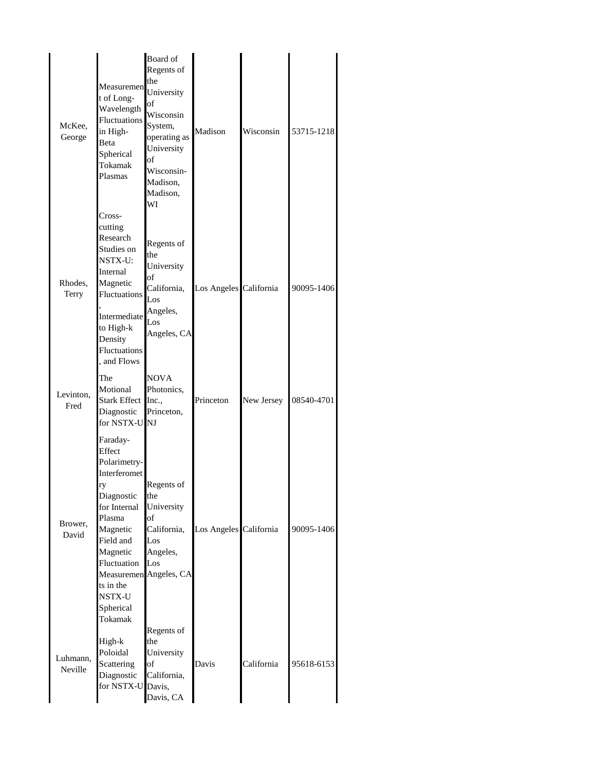| McKee,<br>George    | Measuremen<br>t of Long-<br>Wavelength<br>Fluctuations<br>in High-<br>Beta<br>Spherical<br>Tokamak<br>Plasmas                                                                            | Board of<br>Regents of<br>the<br>University<br>of<br>Wisconsin<br>System,<br>operating as<br>University<br>of<br>Wisconsin-<br>Madison,<br>Madison,<br>WI | Madison                | Wisconsin  | 53715-1218 |  |
|---------------------|------------------------------------------------------------------------------------------------------------------------------------------------------------------------------------------|-----------------------------------------------------------------------------------------------------------------------------------------------------------|------------------------|------------|------------|--|
| Rhodes,<br>Terry    | Cross-<br>cutting<br>Research<br>Studies on<br>NSTX-U:<br>Internal<br>Magnetic<br>Fluctuations<br>Intermediate<br>to High-k<br>Density<br>Fluctuations<br>, and Flows                    | Regents of<br>the<br>University<br>of<br>California,<br>Los<br>Angeles,<br>Los<br>Angeles, CA                                                             | Los Angeles California |            | 90095-1406 |  |
| Levinton,<br>Fred   | The<br>Motional<br>Stark Effect<br>Diagnostic<br>for NSTX-U NJ                                                                                                                           | <b>NOVA</b><br>Photonics,<br>Inc.,<br>Princeton,                                                                                                          | Princeton              | New Jersey | 08540-4701 |  |
| Brower,<br>David    | Faraday-<br>Effect<br>Polarimetry-<br>Interferomet<br>ry<br>Diagnostic<br>for Internal<br>Plasma<br>Magnetic<br>Field and<br>Magnetic<br>Fluctuation<br>ts in the<br>NSTX-U<br>Spherical | Regents of<br>the<br>University<br>of<br>California,<br>Los<br>Angeles,<br>Los<br>Measuremen Angeles, CA                                                  | Los Angeles California |            | 90095-1406 |  |
| Luhmann,<br>Neville | Tokamak<br>High-k<br>Poloidal<br>Scattering<br>Diagnostic<br>for NSTX-U Davis,                                                                                                           | Regents of<br>the<br>University<br>of<br>California,<br>Davis, CA                                                                                         | Davis                  | California | 95618-6153 |  |